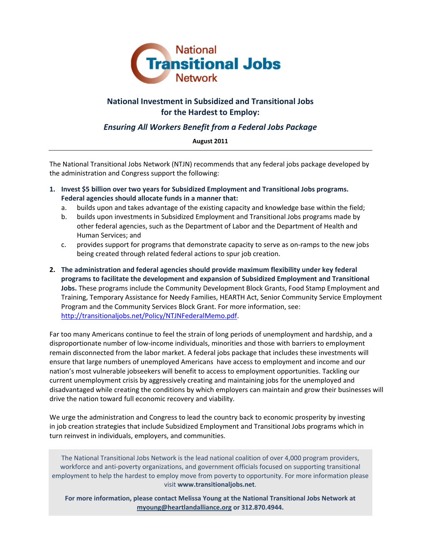

# **National Investment in Subsidized and Transitional Jobs for the Hardest to Employ:**

## *Ensuring All Workers Benefit from a Federal Jobs Package*

#### **August 2011**

The National Transitional Jobs Network (NTJN) recommends that any federal jobs package developed by the administration and Congress support the following:

- **1. Invest \$5 billion over two years for Subsidized Employment and Transitional Jobs programs. Federal agencies should allocate funds in a manner that:**
	- a. builds upon and takes advantage of the existing capacity and knowledge base within the field;
	- b. builds upon investments in Subsidized Employment and Transitional Jobs programs made by other federal agencies, such as the Department of Labor and the Department of Health and Human Services; and
	- c. provides support for programs that demonstrate capacity to serve as on‐ramps to the new jobs being created through related federal actions to spur job creation.
- **2. The administration and federal agencies should provide maximum flexibility under key federal programs to facilitate the development and expansion of Subsidized Employment and Transitional Jobs.** These programs include the Community Development Block Grants, Food Stamp Employment and Training, Temporary Assistance for Needy Families, HEARTH Act, Senior Community Service Employment Program and the Community Services Block Grant. For more information, see: http://transitionaljobs.net/Policy/NTJNFederalMemo.pdf.

Far too many Americans continue to feel the strain of long periods of unemployment and hardship, and a disproportionate number of low‐income individuals, minorities and those with barriers to employment remain disconnected from the labor market. A federal jobs package that includes these investments will ensure that large numbers of unemployed Americans have access to employment and income and our nation's most vulnerable jobseekers will benefit to access to employment opportunities. Tackling our current unemployment crisis by aggressively creating and maintaining jobs for the unemployed and disadvantaged while creating the conditions by which employers can maintain and grow their businesses will drive the nation toward full economic recovery and viability.

We urge the administration and Congress to lead the country back to economic prosperity by investing in job creation strategies that include Subsidized Employment and Transitional Jobs programs which in turn reinvest in individuals, employers, and communities.

The National Transitional Jobs Network is the lead national coalition of over 4,000 program providers, workforce and anti‐poverty organizations, and government officials focused on supporting transitional employment to help the hardest to employ move from poverty to opportunity. For more information please visit **www.transitionaljobs.net**.

**For more information, please contact Melissa Young at the National Transitional Jobs Network at myoung@heartlandalliance.org or 312.870.4944.**